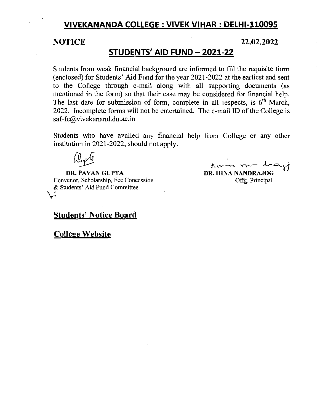# **VIVEKANANDA COLLEGE: VIVEK VIHAR: DELHI-110095**

### **NOTICE 22.02.2022**

# **STUDENTS' AID FUND- 2021-22**

Students from weak financial background are informed to fill the requisite form (enclosed) for Students' Aid Fund for the year 2021-2022 at the earliest and sent to the College through e-mail along with all supporting documents (as mentioned in the form) so that their case may be considered for financial help. The last date for submission of form, complete in all respects, is  $6<sup>th</sup>$  March, 2022. Incomplete forms will not be entertained. The e-mail ID of the College is saf-fc@vivekanand.du.ac.in

Students who have availed any financial help from College or any other institution in 2021-2022, should not apply.

**Depte**<br> **DR. PAVAN GUPTA** 

Convenor, Scholarship, Fee Concession & Students' Aid Fund Committee ~~

the modray DR. HINA NANDRAJOG

Offg. Principal

## **Students' Notice Board**

**College Website**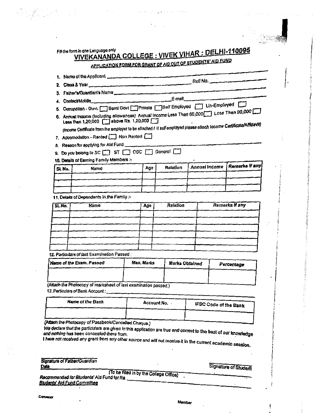|                          |                                                                                                                     |           |                 | APPLICATION FORM FOR GRANT OF AID OUT OF STUDENTS' AID FUND |                |                              |                |  |
|--------------------------|---------------------------------------------------------------------------------------------------------------------|-----------|-----------------|-------------------------------------------------------------|----------------|------------------------------|----------------|--|
|                          | 1. Name of the Applicant                                                                                            |           |                 |                                                             |                |                              |                |  |
|                          |                                                                                                                     |           |                 |                                                             |                |                              |                |  |
|                          | 3. Father's/Guardian's Name                                                                                         |           |                 |                                                             |                |                              |                |  |
|                          | 5. Decupation - Govt. Seini Govt Private Seif Employed [77] Un-Employed                                             |           |                 |                                                             |                |                              |                |  |
|                          | 6. Annual income (including allowances) Annual income Less Then 60,000 Less Then 90,000                             |           |                 |                                                             |                |                              |                |  |
|                          | Less then 1,20,000   above Rs. 1,20,000                                                                             |           |                 |                                                             |                |                              |                |  |
|                          | (income Certificate from the employer to be altached / if self employed please attach income Certificate/Affidavit) |           |                 |                                                             |                |                              |                |  |
|                          | 7. Accomodation - Rented [1] Non Rented [1]                                                                         |           |                 |                                                             |                |                              |                |  |
|                          | 8. Reason for applying for Aid Fund                                                                                 |           |                 |                                                             |                |                              |                |  |
|                          | 9. Do you belong to SC ST ST OBC Seneral C                                                                          |           |                 |                                                             |                |                              |                |  |
|                          | 10. Details of Earning Family Members :-                                                                            |           |                 | Relation                                                    | Annual Income  |                              | Remarks if any |  |
| SL No.                   | Namo                                                                                                                |           | Age             |                                                             |                |                              |                |  |
|                          |                                                                                                                     |           |                 |                                                             |                |                              |                |  |
|                          |                                                                                                                     |           |                 |                                                             |                |                              |                |  |
|                          | 11. Details of Dependents in the Family :-                                                                          |           |                 |                                                             |                |                              |                |  |
| SI.No.                   | Name                                                                                                                |           | Relation<br>Age |                                                             |                | Remarks if any               |                |  |
|                          |                                                                                                                     |           |                 |                                                             |                |                              |                |  |
|                          |                                                                                                                     |           |                 |                                                             |                |                              |                |  |
|                          |                                                                                                                     |           |                 |                                                             |                |                              |                |  |
|                          |                                                                                                                     |           |                 |                                                             |                |                              |                |  |
|                          |                                                                                                                     |           |                 |                                                             |                |                              |                |  |
|                          | 12. Particulars of last Examination Passed:                                                                         |           |                 |                                                             |                |                              |                |  |
| Name of the Exam. Passed |                                                                                                                     | Max Marks |                 |                                                             | Marks Obtained |                              | Percentage     |  |
|                          |                                                                                                                     |           |                 |                                                             |                |                              |                |  |
|                          | (Attach the Photocopy of marksheet of last examination passed.)                                                     |           |                 |                                                             |                |                              |                |  |
|                          | 13. Particulars of Bank Account:                                                                                    |           |                 |                                                             |                |                              |                |  |
|                          | Name of the Bank                                                                                                    |           |                 |                                                             |                |                              |                |  |
|                          |                                                                                                                     |           | Account No. .   |                                                             |                | <b>IFSC Code of the Bank</b> |                |  |
|                          |                                                                                                                     |           |                 |                                                             |                |                              |                |  |

 $\Omega_{\rm{max}}$  and

| Signature of Father/Guardian                            |                                         |
|---------------------------------------------------------|-----------------------------------------|
| Date                                                    |                                         |
|                                                         | (To be filled in by the College Office) |
| Monomenoral of facilities for death of Ald Freed for my |                                         |

**Signature of Student** 

ti and

Recommended for Students' Aid Fund for Rs. Students' Aid Fund Committee

 $\label{eq:R1} \frac{1}{2}\sum_{i=1}^M\sum_{j=1}^M\sum_{j=1}^M\sum_{j=1}^M\sum_{j=1}^M\sum_{j=1}^M\sum_{j=1}^M\sum_{j=1}^M\sum_{j=1}^M\sum_{j=1}^M\sum_{j=1}^M\sum_{j=1}^M\sum_{j=1}^M\sum_{j=1}^M\sum_{j=1}^M\sum_{j=1}^M\sum_{j=1}^M\sum_{j=1}^M\sum_{j=1}^M\sum_{j=1}^M\sum_{j=1}^M\sum_{j=1}^M\sum_{j=1}^$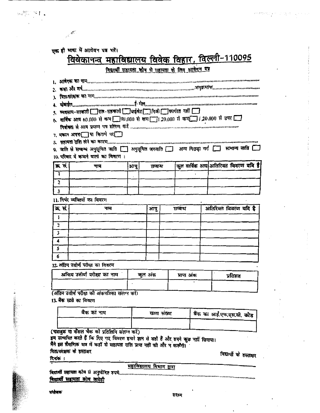|                                                                                                                                                                                                                                                                                                                                                                                                                                                                                                                        | एक ही भाषा में आवेबन पत्र भरें।                                                                          |              |                                                   |             |  |                          |                                     |
|------------------------------------------------------------------------------------------------------------------------------------------------------------------------------------------------------------------------------------------------------------------------------------------------------------------------------------------------------------------------------------------------------------------------------------------------------------------------------------------------------------------------|----------------------------------------------------------------------------------------------------------|--------------|---------------------------------------------------|-------------|--|--------------------------|-------------------------------------|
|                                                                                                                                                                                                                                                                                                                                                                                                                                                                                                                        | विवेकानन्त महाविद्यालय विवेक विहार, विल्ली-110095                                                        |              | विद्यार्थी सहायता कोष से सहायता के लिए आयेलग पत्र |             |  |                          |                                     |
|                                                                                                                                                                                                                                                                                                                                                                                                                                                                                                                        |                                                                                                          |              |                                                   |             |  |                          |                                     |
| 1. MACK IN MH                                                                                                                                                                                                                                                                                                                                                                                                                                                                                                          |                                                                                                          |              |                                                   |             |  |                          |                                     |
|                                                                                                                                                                                                                                                                                                                                                                                                                                                                                                                        |                                                                                                          |              |                                                   |             |  |                          |                                     |
| $\sqrt{\frac{1}{2} \sqrt{\frac{1}{2} \sqrt{\frac{1}{2} \sqrt{\frac{1}{2} \sqrt{\frac{1}{2} \sqrt{\frac{1}{2} \sqrt{\frac{1}{2} \sqrt{\frac{1}{2} \sqrt{\frac{1}{2} \sqrt{\frac{1}{2} \sqrt{\frac{1}{2} \sqrt{\frac{1}{2} \sqrt{\frac{1}{2} \sqrt{\frac{1}{2} \sqrt{\frac{1}{2} \sqrt{\frac{1}{2} \sqrt{\frac{1}{2} \sqrt{\frac{1}{2} \sqrt{\frac{1}{2} \sqrt{\frac{1}{2} \sqrt{\frac{1}{2} \sqrt{\frac{1}{2} \sqrt{\frac{1}{2} \sqrt{\frac{1}{2} \sqrt{\frac$<br>९ अवसाय-सरकारी सात-सतकारी प्रारंभेट निजी कार्यात नहीं |                                                                                                          |              |                                                   |             |  |                          |                                     |
|                                                                                                                                                                                                                                                                                                                                                                                                                                                                                                                        |                                                                                                          |              |                                                   |             |  |                          |                                     |
|                                                                                                                                                                                                                                                                                                                                                                                                                                                                                                                        |                                                                                                          |              |                                                   |             |  |                          |                                     |
|                                                                                                                                                                                                                                                                                                                                                                                                                                                                                                                        | 7. मकान अपनालिया किराये पर                                                                               |              |                                                   |             |  |                          |                                     |
|                                                                                                                                                                                                                                                                                                                                                                                                                                                                                                                        |                                                                                                          |              |                                                   |             |  |                          |                                     |
|                                                                                                                                                                                                                                                                                                                                                                                                                                                                                                                        | 9. जाति से सम्बन्ध अनुसूचित जाति [ ] अनुसूचित जनजाति [ ] अन्य पिछड़ा यर्ग [ ] सामान्य जाति [ ]           |              |                                                   |             |  |                          |                                     |
|                                                                                                                                                                                                                                                                                                                                                                                                                                                                                                                        | 10. परिवार में कमाने वालो का विवारण:                                                                     |              |                                                   |             |  |                          |                                     |
| क्र सं                                                                                                                                                                                                                                                                                                                                                                                                                                                                                                                 | नाम                                                                                                      | आयु          | सम्बन्ध                                           |             |  |                          | कल वार्षिक आय अतिरिक्त विवरण यवि है |
| ı                                                                                                                                                                                                                                                                                                                                                                                                                                                                                                                      |                                                                                                          |              |                                                   |             |  |                          |                                     |
| $\overline{\mathbf{c}}$                                                                                                                                                                                                                                                                                                                                                                                                                                                                                                |                                                                                                          |              |                                                   |             |  |                          |                                     |
| 3                                                                                                                                                                                                                                                                                                                                                                                                                                                                                                                      |                                                                                                          |              |                                                   |             |  |                          |                                     |
|                                                                                                                                                                                                                                                                                                                                                                                                                                                                                                                        | 11. निर्मर व्यक्तियों का विवरण                                                                           |              |                                                   |             |  |                          |                                     |
| क्र सं                                                                                                                                                                                                                                                                                                                                                                                                                                                                                                                 | नाम                                                                                                      |              | आयु<br>सम्बन्ध                                    |             |  |                          | अतिरिक्त विवरण यदि है               |
| 1                                                                                                                                                                                                                                                                                                                                                                                                                                                                                                                      |                                                                                                          |              |                                                   |             |  |                          |                                     |
| $\overline{2}$                                                                                                                                                                                                                                                                                                                                                                                                                                                                                                         |                                                                                                          |              |                                                   |             |  |                          |                                     |
| $\overline{\mathbf{3}}$                                                                                                                                                                                                                                                                                                                                                                                                                                                                                                |                                                                                                          |              |                                                   |             |  |                          |                                     |
| 4                                                                                                                                                                                                                                                                                                                                                                                                                                                                                                                      |                                                                                                          |              |                                                   |             |  |                          |                                     |
| 5                                                                                                                                                                                                                                                                                                                                                                                                                                                                                                                      |                                                                                                          |              |                                                   |             |  |                          |                                     |
| 6                                                                                                                                                                                                                                                                                                                                                                                                                                                                                                                      |                                                                                                          |              |                                                   |             |  |                          |                                     |
|                                                                                                                                                                                                                                                                                                                                                                                                                                                                                                                        | 12 अंतिम उत्तीर्ण परीक्षा का विवरण                                                                       |              |                                                   |             |  |                          |                                     |
| अन्तिम उत्तीर्ण परीक्षा का नाम                                                                                                                                                                                                                                                                                                                                                                                                                                                                                         |                                                                                                          | कल अंक       |                                                   | प्राप्त अंक |  | प्रतिशत                  |                                     |
|                                                                                                                                                                                                                                                                                                                                                                                                                                                                                                                        |                                                                                                          |              |                                                   |             |  |                          |                                     |
|                                                                                                                                                                                                                                                                                                                                                                                                                                                                                                                        | (अंतिम ठत्तीर्ण परीक्षा को अंकपत्रिका संलग्न करें।                                                       |              |                                                   |             |  |                          |                                     |
|                                                                                                                                                                                                                                                                                                                                                                                                                                                                                                                        | 13. बैंक खाते का विवरण                                                                                   |              |                                                   |             |  |                          |                                     |
|                                                                                                                                                                                                                                                                                                                                                                                                                                                                                                                        |                                                                                                          |              |                                                   |             |  |                          |                                     |
|                                                                                                                                                                                                                                                                                                                                                                                                                                                                                                                        |                                                                                                          | र्वैक का नाम |                                                   | खाता संख्या |  | बैंक का आई.एफ.एस.सी. कोड |                                     |
|                                                                                                                                                                                                                                                                                                                                                                                                                                                                                                                        |                                                                                                          |              |                                                   |             |  |                          |                                     |
|                                                                                                                                                                                                                                                                                                                                                                                                                                                                                                                        | (पासबुक या कैसल चैक को प्रतिलिपि संलग्न करें)                                                            |              |                                                   |             |  |                          |                                     |
|                                                                                                                                                                                                                                                                                                                                                                                                                                                                                                                        | इम सत्यापित करते हैं कि दिए गए विवरण हमारे ज्ञान से सही हैं और हमने कुछ नहीं छिपाया।                     |              |                                                   |             |  |                          |                                     |
|                                                                                                                                                                                                                                                                                                                                                                                                                                                                                                                        | मैंने इस शैक्षणिक सत्र में कहीं से सहायता राशि प्राप्त नहीं को और न करूँगी।<br>पिता/संरक्षक के हस्ताक्षर |              |                                                   |             |  |                          |                                     |
| দিয়াক :                                                                                                                                                                                                                                                                                                                                                                                                                                                                                                               |                                                                                                          |              |                                                   |             |  |                          | विद्यार्थी के हस्ताक्षर             |
|                                                                                                                                                                                                                                                                                                                                                                                                                                                                                                                        |                                                                                                          |              | महाविद्यालय विभाग द्वारा                          |             |  |                          |                                     |
|                                                                                                                                                                                                                                                                                                                                                                                                                                                                                                                        | विद्यार्थी सहायता कोष से अनुमोदित रुपये                                                                  |              |                                                   |             |  |                          |                                     |
|                                                                                                                                                                                                                                                                                                                                                                                                                                                                                                                        | विद्यार्थी सहायता कोय कमेटी                                                                              |              |                                                   |             |  |                          |                                     |

 $\hat{\boldsymbol{\beta}}$ 

सर्वाजक

 $\hat{\boldsymbol{\beta}}$ 

a je pre

 $\frac{1}{2}$ 

 $\sim$  1

d.